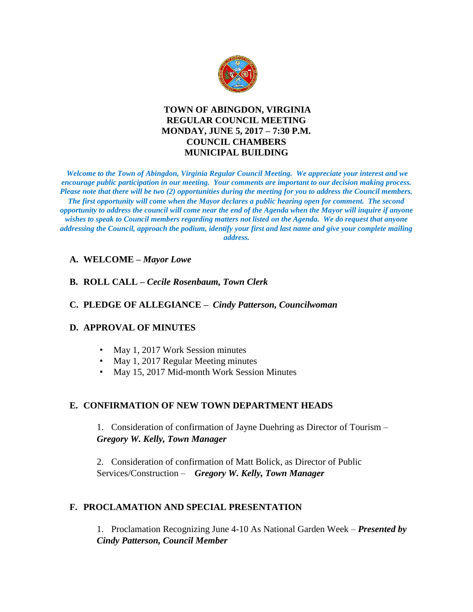

# **TOWN OF ABINGDON, VIRGINIA REGULAR COUNCIL MEETING MONDAY, JUNE 5, 2017 – 7:30 P.M. COUNCIL CHAMBERS MUNICIPAL BUILDING**

*Welcome to the Town of Abingdon, Virginia Regular Council Meeting. We appreciate your interest and we encourage public participation in our meeting. Your comments are important to our decision making process. Please note that there will be two (2) opportunities during the meeting for you to address the Council members. The first opportunity will come when the Mayor declares a public hearing open for comment. The second opportunity to address the council will come near the end of the Agenda when the Mayor will inquire if anyone wishes to speak to Council members regarding matters not listed on the Agenda. We do request that anyone addressing the Council, approach the podium, identify your first and last name and give your complete mailing address.* 

#### **A. WELCOME –** *Mayor Lowe*

#### **B. ROLL CALL –** *Cecile Rosenbaum, Town Clerk*

#### **C. PLEDGE OF ALLEGIANCE –** *Cindy Patterson, Councilwoman*

#### **D. APPROVAL OF MINUTES**

- May 1, 2017 Work Session minutes
- May 1, 2017 Regular Meeting minutes
- May 15, 2017 Mid-month Work Session Minutes

# **E. CONFIRMATION OF NEW TOWN DEPARTMENT HEADS**

1. Consideration of confirmation of Jayne Duehring as Director of Tourism – *Gregory W. Kelly, Town Manager*

2. Consideration of confirmation of Matt Bolick, as Director of Public Services/Construction – *Gregory W. Kelly, Town Manager*

# **F. PROCLAMATION AND SPECIAL PRESENTATION**

1. Proclamation Recognizing June 4-10 As National Garden Week – *Presented by Cindy Patterson, Council Member*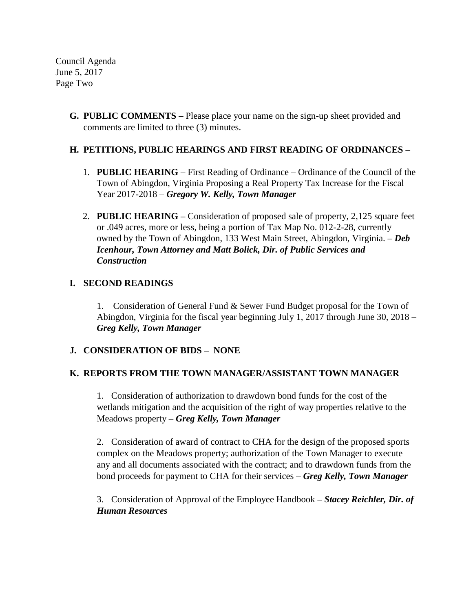Council Agenda June 5, 2017 Page Two

> **G. PUBLIC COMMENTS –** Please place your name on the sign-up sheet provided and comments are limited to three (3) minutes.

# **H. PETITIONS, PUBLIC HEARINGS AND FIRST READING OF ORDINANCES –**

- 1. **PUBLIC HEARING** First Reading of Ordinance Ordinance of the Council of the Town of Abingdon, Virginia Proposing a Real Property Tax Increase for the Fiscal Year 2017-2018 – *Gregory W. Kelly, Town Manager*
- 2. **PUBLIC HEARING –** Consideration of proposed sale of property, 2,125 square feet or .049 acres, more or less, being a portion of Tax Map No. 012-2-28, currently owned by the Town of Abingdon, 133 West Main Street, Abingdon, Virginia. *– Deb Icenhour, Town Attorney and Matt Bolick, Dir. of Public Services and Construction*

#### **I. SECOND READINGS**

1. Consideration of General Fund & Sewer Fund Budget proposal for the Town of Abingdon, Virginia for the fiscal year beginning July 1, 2017 through June 30, 2018 – *Greg Kelly, Town Manager*

# **J. CONSIDERATION OF BIDS – NONE**

# **K. REPORTS FROM THE TOWN MANAGER/ASSISTANT TOWN MANAGER**

1. Consideration of authorization to drawdown bond funds for the cost of the wetlands mitigation and the acquisition of the right of way properties relative to the Meadows property *– Greg Kelly, Town Manager*

2. Consideration of award of contract to CHA for the design of the proposed sports complex on the Meadows property; authorization of the Town Manager to execute any and all documents associated with the contract; and to drawdown funds from the bond proceeds for payment to CHA for their services – *Greg Kelly, Town Manager*

3. Consideration of Approval of the Employee Handbook **–** *Stacey Reichler, Dir. of Human Resources*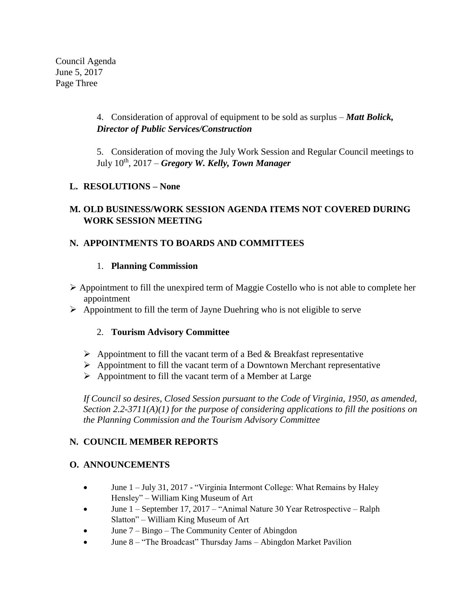Council Agenda June 5, 2017 Page Three

> 4. Consideration of approval of equipment to be sold as surplus – *Matt Bolick, Director of Public Services/Construction*

5. Consideration of moving the July Work Session and Regular Council meetings to July 10th , 2017 – *Gregory W. Kelly, Town Manager*

# **L. RESOLUTIONS – None**

# **M. OLD BUSINESS/WORK SESSION AGENDA ITEMS NOT COVERED DURING WORK SESSION MEETING**

# **N. APPOINTMENTS TO BOARDS AND COMMITTEES**

# 1. **Planning Commission**

- $\triangleright$  Appointment to fill the unexpired term of Maggie Costello who is not able to complete her appointment
- $\triangleright$  Appointment to fill the term of Jayne Duehring who is not eligible to serve

# 2. **Tourism Advisory Committee**

- $\triangleright$  Appointment to fill the vacant term of a Bed & Breakfast representative
- $\triangleright$  Appointment to fill the vacant term of a Downtown Merchant representative
- $\triangleright$  Appointment to fill the vacant term of a Member at Large

*If Council so desires, Closed Session pursuant to the Code of Virginia, 1950, as amended, Section 2.2-3711(A)(1) for the purpose of considering applications to fill the positions on the Planning Commission and the Tourism Advisory Committee* 

# **N. COUNCIL MEMBER REPORTS**

# **O. ANNOUNCEMENTS**

- June 1 July 31, 2017 "Virginia Intermont College: What Remains by Haley Hensley" – William King Museum of Art
- June 1 September 17, 2017 "Animal Nature 30 Year Retrospective Ralph Slatton" – William King Museum of Art
- June 7 Bingo The Community Center of Abingdon
- June 8 "The Broadcast" Thursday Jams Abingdon Market Pavilion